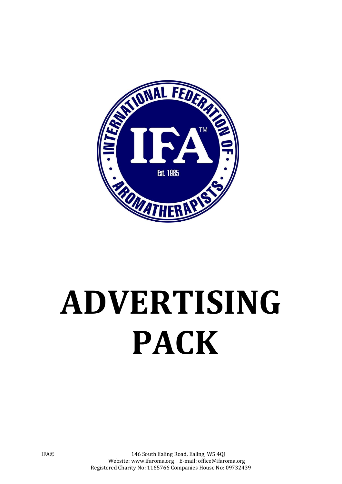

# **ADVERTISING PACK**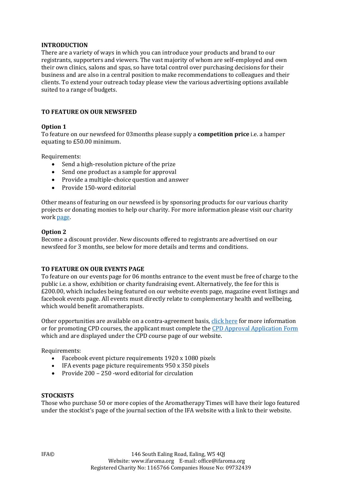#### **INTRODUCTION**

There are a variety of ways in which you can introduce your products and brand to our registrants, supporters and viewers. The vast majority of whom are self-employed and own their own clinics, salons and spas, so have total control over purchasing decisions for their business and are also in a central position to make recommendations to colleagues and their clients. To extend your outreach today please view the various advertising options available suited to a range of budgets.

## **TO FEATURE ON OUR NEWSFEED**

## **Option 1**

To feature on our newsfeed for 03months please supply a **competition price** i.e. a hamper equating to £50.00 minimum.

Requirements:

- Send a high-resolution picture of the prize
- Send one product as a sample for approval
- Provide a multiple-choice question and answer
- Provide 150-word editorial

Other means of featuring on our newsfeed is by sponsoring products for our various charity projects or donating monies to help our charity. For more information please visit our charity work [page.](https://ifaroma.org/index.php/english/home/charity-work) 

#### **Option 2**

Become [a discount provider.](https://ifaroma.org/application/files/1815/5793/1895/DISCOUNT_PROVIDER_APPLICATION_FORM.docx) New discounts offered to registrants are advertised on our newsfeed for 3 months, see below for more details and terms and conditions.

#### **TO FEATURE ON OUR EVENTS PAGE**

To feature on our events page for 06 months entrance to the event must be free of charge to the public i.e. a show, exhibition or charity fundraising event. Alternatively, the fee for this is £200.00, which includes being featured on our website events page, magazine event listings and facebook events page. All events must directly relate to complementary health and wellbeing, which would benefit aromatherapists.

Other opportunities are available on a contra-agreement basis, [click here](https://ifaroma.org/index.php/english/home/press-media/trade-events) for more information or for promoting CPD courses, the applicant must complete th[e CPD Approval Application Form](https://ifaroma.org/application/files/6915/1387/0087/CPD_APPROVAL_APPLICATION_FORM.doc) which and are displayed under the CPD course page of our website.

Requirements:

- Facebook event picture requirements 1920 x 1080 pixels
- IFA events page picture requirements 950 x 350 pixels
- Provide 200 250 -word editorial for circulation

#### **STOCKISTS**

Those who purchase 50 or more copies of the Aromatherapy Times will have their logo featured under the stockist's page of the journal section of the IFA website with a link to their website.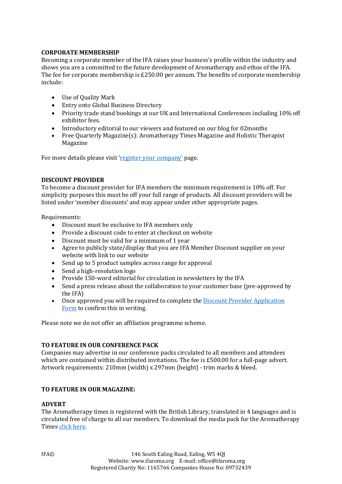## **CORPORATE MEMBERSHIP**

Becoming a corporate member of the IFA raises your business's profile within the industry and shows you are a committed to the future development of Aromatherapy and ethos of the IFA. The fee for corporate membership is £250.00 per annum. The benefits of corporate membership include:

- Use of Quality Mark
- Entry onto Global Business Directory
- Priority trade stand bookings at our UK and International Conferences including 10% off exhibitor fees.
- Introductory editorial to our viewers and featured on our blog for 02months
- Free Quarterly Magazine(s): Aromatherapy Times Magazine and Holistic Therapist Magazine

For more details please visit ['register your company'](https://ifaroma.org/index.php/english/home/membership/register-your-company) page.

#### **DISCOUNT PROVIDER**

To become a discount provider for IFA members the minimum requirement is 10% off. For simplicity purposes this must be off your full range of products. All discount providers will be listed under 'member discounts' and may appear under other appropriate pages.

Requirements:

- Discount must be exclusive to IFA members only
- Provide a discount code to enter at checkout on website
- Discount must be valid for a minimum of 1 year
- Agree to publicly state/display that you are IFA Member Discount supplier on your website with link to our website
- Send up to 5 product samples across range for approval
- Send a high-resolution logo
- Provide 150-word editorial for circulation in newsletters by the IFA
- Send a press release about the collaboration to your customer base (pre-approved by the IFA)
- Once approved you will be required to complete the [Discount Provider Application](https://ifaroma.org/application/files/1815/5793/1895/DISCOUNT_PROVIDER_APPLICATION_FORM.docx)  [Form](https://ifaroma.org/application/files/1815/5793/1895/DISCOUNT_PROVIDER_APPLICATION_FORM.docx) to confirm this in writing.

Please note we do not offer an affiliation programme scheme.

## **TO FEATURE IN OUR CONFERENCE PACK**

Companies may advertise in our conference packs circulated to all members and attendees which are contained within distributed invitations. The fee is £500.00 for a full-page advert. Artwork requirements: 210mm (width) x 297mm (height) - trim marks & bleed.

# **TO FEATURE IN OUR MAGAZINE:**

## **ADVERT**

The Aromatherapy times is registered with the British Library, translated in 4 languages and is circulated free of charge to all our members. To download the media pack for the Aromatherapy Times [click here.](https://ifaroma.org/application/files/6715/5377/5404/Magazine_Media_Pack.pdf)